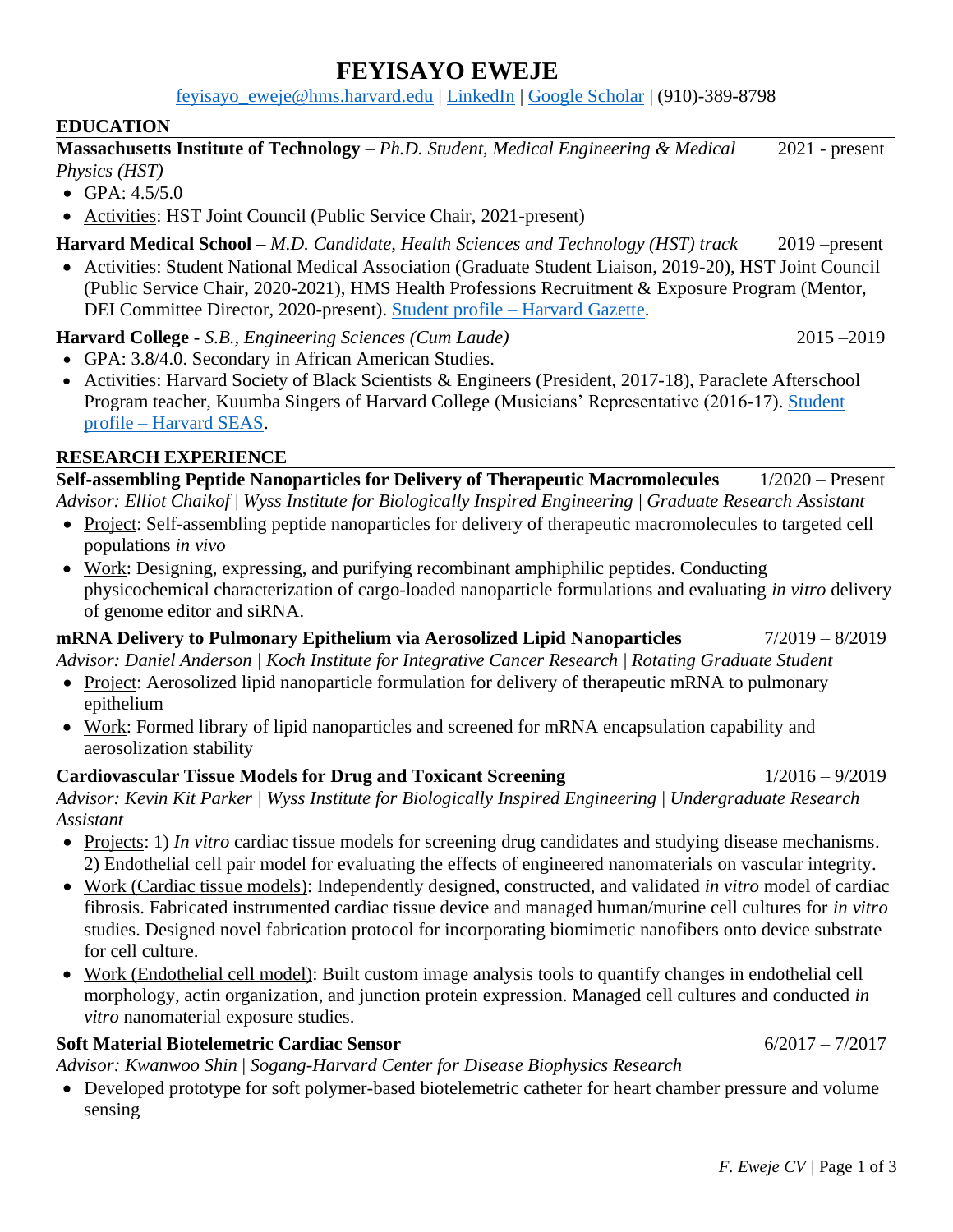# **FEYISAYO EWEJE**

[feyisayo\\_eweje@hms.harvard.edu](mailto:feyisayo_eweje@hms.harvard.edu) | [LinkedIn](https://www.linkedin.com/in/feyisayo-eweje/) | [Google Scholar](https://scholar.google.com/citations?user=n2wO0lgAAAAJ&hl=en) | (910)-389-8798

### **EDUCATION**

**Massachusetts Institute of Technology** – *Ph.D. Student, Medical Engineering & Medical Physics (HST)* 2021 - present

- GPA:  $4.5/5.0$
- Activities: HST Joint Council (Public Service Chair, 2021-present)

**Harvard Medical School –** *M.D. Candidate, Health Sciences and Technology (HST) track* 2019 –present

• Activities: Student National Medical Association (Graduate Student Liaison, 2019-20), HST Joint Council (Public Service Chair, 2020-2021), HMS Health Professions Recruitment & Exposure Program (Mentor, DEI Committee Director, 2020-present). Student profile – [Harvard Gazette.](https://news.harvard.edu/gazette/story/2021/05/medical-school-students-tackled-their-studies-and-covid-too/)

**Harvard College -** *S.B., Engineering Sciences (Cum Laude)* 2015 –2019

- GPA: 3.8/4.0. Secondary in African American Studies.
- Activities: Harvard Society of Black Scientists & Engineers (President, 2017-18), Paraclete Afterschool Program teacher, Kuumba Singers of Harvard College (Musicians' Representative (2016-17). [Student](https://www.seas.harvard.edu/news/2019/05/senior-profile-sayo-eweje)  profile – [Harvard SEAS.](https://www.seas.harvard.edu/news/2019/05/senior-profile-sayo-eweje)

### **RESEARCH EXPERIENCE**

**Self-assembling Peptide Nanoparticles for Delivery of Therapeutic Macromolecules** 1/2020 – Present *Advisor: Elliot Chaikof* | *Wyss Institute for Biologically Inspired Engineering* | *Graduate Research Assistant*

- Project: Self-assembling peptide nanoparticles for delivery of therapeutic macromolecules to targeted cell populations *in vivo*
- Work: Designing, expressing, and purifying recombinant amphiphilic peptides. Conducting physicochemical characterization of cargo-loaded nanoparticle formulations and evaluating *in vitro* delivery of genome editor and siRNA.

**mRNA Delivery to Pulmonary Epithelium via Aerosolized Lipid Nanoparticles** 7/2019 – 8/2019

*Advisor: Daniel Anderson | Koch Institute for Integrative Cancer Research* | *Rotating Graduate Student*

- Project: Aerosolized lipid nanoparticle formulation for delivery of therapeutic mRNA to pulmonary epithelium
- Work: Formed library of lipid nanoparticles and screened for mRNA encapsulation capability and aerosolization stability

### **Cardiovascular Tissue Models for Drug and Toxicant Screening** 1/2016 – 9/2019

*Advisor: Kevin Kit Parker | Wyss Institute for Biologically Inspired Engineering* | *Undergraduate Research Assistant*

- Projects: 1) *In vitro* cardiac tissue models for screening drug candidates and studying disease mechanisms. 2) Endothelial cell pair model for evaluating the effects of engineered nanomaterials on vascular integrity.
- Work (Cardiac tissue models): Independently designed, constructed, and validated *in vitro* model of cardiac fibrosis. Fabricated instrumented cardiac tissue device and managed human/murine cell cultures for *in vitro*  studies. Designed novel fabrication protocol for incorporating biomimetic nanofibers onto device substrate for cell culture.
- Work (Endothelial cell model): Built custom image analysis tools to quantify changes in endothelial cell morphology, actin organization, and junction protein expression. Managed cell cultures and conducted *in vitro* nanomaterial exposure studies.

### **Soft Material Biotelemetric Cardiac Sensor** 6/2017 – 7/2017

*Advisor: Kwanwoo Shin* | *Sogang-Harvard Center for Disease Biophysics Research*

• Developed prototype for soft polymer-based biotelemetric catheter for heart chamber pressure and volume sensing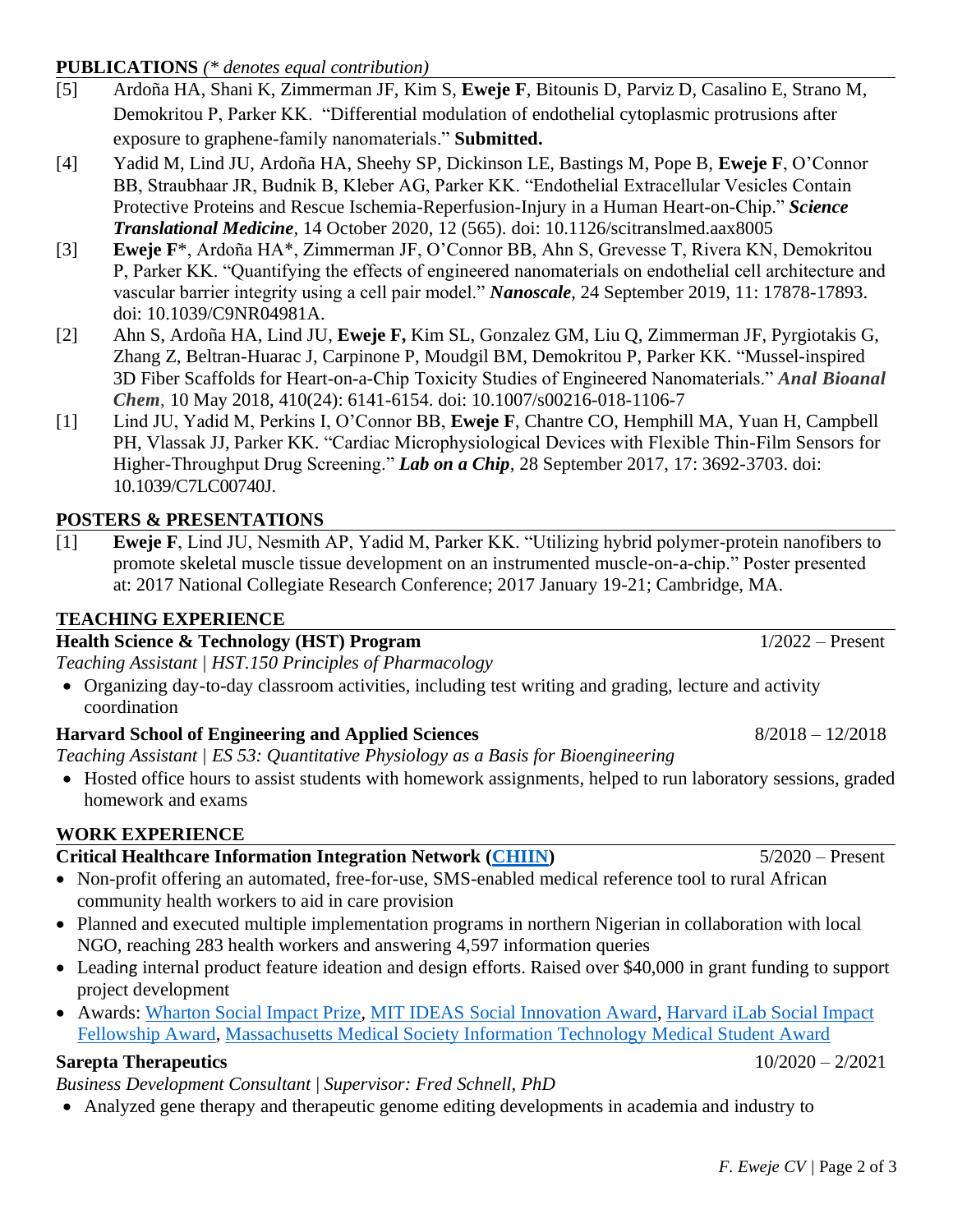#### *F. Eweje CV |* Page 2 of 3

#### **PUBLICATIONS** *(\* denotes equal contribution)*

- [5] Ardoña HA, Shani K, Zimmerman JF, Kim S, **Eweje F**, Bitounis D, Parviz D, Casalino E, Strano M, Demokritou P, Parker KK. "Differential modulation of endothelial cytoplasmic protrusions after exposure to graphene-family nanomaterials." **Submitted.**
- [4] Yadid M, Lind JU, Ardoña HA, Sheehy SP, Dickinson LE, Bastings M, Pope B, **Eweje F**, O'Connor BB, Straubhaar JR, Budnik B, Kleber AG, Parker KK. "Endothelial Extracellular Vesicles Contain Protective Proteins and Rescue Ischemia-Reperfusion-Injury in a Human Heart-on-Chip." *Science Translational Medicine,* 14 October 2020, 12 (565). doi: 10.1126/scitranslmed.aax8005
- [3] **Eweje F**\*, Ardoña HA\*, Zimmerman JF, O'Connor BB, Ahn S, Grevesse T, Rivera KN, Demokritou P, Parker KK. "Quantifying the effects of engineered nanomaterials on endothelial cell architecture and vascular barrier integrity using a cell pair model." *Nanoscale*, 24 September 2019, 11: 17878-17893. doi: 10.1039/C9NR04981A.
- [2] Ahn S, Ardoña HA, Lind JU, **Eweje F,** Kim SL, Gonzalez GM, Liu Q, Zimmerman JF, Pyrgiotakis G, Zhang Z, Beltran-Huarac J, Carpinone P, Moudgil BM, Demokritou P, Parker KK. "Mussel-inspired 3D Fiber Scaffolds for Heart-on-a-Chip Toxicity Studies of Engineered Nanomaterials." *Anal Bioanal Chem*, 10 May 2018, 410(24): 6141-6154. doi: 10.1007/s00216-018-1106-7
- [1] Lind JU, Yadid M, Perkins I, O'Connor BB, **Eweje F**, Chantre CO, Hemphill MA, Yuan H, Campbell PH, Vlassak JJ, Parker KK. "Cardiac Microphysiological Devices with Flexible Thin-Film Sensors for Higher-Throughput Drug Screening." *Lab on a Chip,* 28 September 2017, 17: 3692-3703. doi: 10.1039/C7LC00740J.

#### **POSTERS & PRESENTATIONS**

[1] **Eweje F**, Lind JU, Nesmith AP, Yadid M, Parker KK. "Utilizing hybrid polymer-protein nanofibers to promote skeletal muscle tissue development on an instrumented muscle-on-a-chip." Poster presented at: 2017 National Collegiate Research Conference; 2017 January 19-21; Cambridge, MA.

#### **TEACHING EXPERIENCE**

#### **Health Science & Technology (HST) Program** 1/2022 – Present

*Teaching Assistant | HST.150 Principles of Pharmacology* 

• Organizing day-to-day classroom activities, including test writing and grading, lecture and activity coordination

#### **Harvard School of Engineering and Applied Sciences** 8/2018 – 12/2018

*Teaching Assistant | ES 53: Quantitative Physiology as a Basis for Bioengineering*

• Hosted office hours to assist students with homework assignments, helped to run laboratory sessions, graded homework and exams

#### **WORK EXPERIENCE**

### **Critical Healthcare Information Integration Network [\(CHIIN\)](https://chiin.org/)** 5/2020 – Present

- Non-profit offering an automated, free-for-use, SMS-enabled medical reference tool to rural African community health workers to aid in care provision
- Planned and executed multiple implementation programs in northern Nigerian in collaboration with local NGO, reaching 283 health workers and answering 4,597 information queries
- Leading internal product feature ideation and design efforts. Raised over \$40,000 in grant funding to support project development
- Awards: [Wharton Social Impact Prize,](https://www.clearadmit.com/2021/05/wharton-venture-lab-announces-virtual-startup-challenge-winner/) [MIT IDEAS Social Innovation Award,](https://pkgcenter.mit.edu/2021/05/05/mit-ideas-celebrates-20-years-of-social-innovation-at-mit/) [Harvard iLab Social Impact](https://innovationlabs.harvard.edu/social-impact-fellowship-fund/)  [Fellowship Award,](https://innovationlabs.harvard.edu/social-impact-fellowship-fund/) [Massachusetts Medical Society Information Technology Medical Student Award](https://www.massmed.org/cit_award/)

## **Sarepta Therapeutics** 10/2020 – 2/2021

# *Business Development Consultant* | *Supervisor: Fred Schnell, PhD*

• Analyzed gene therapy and therapeutic genome editing developments in academia and industry to